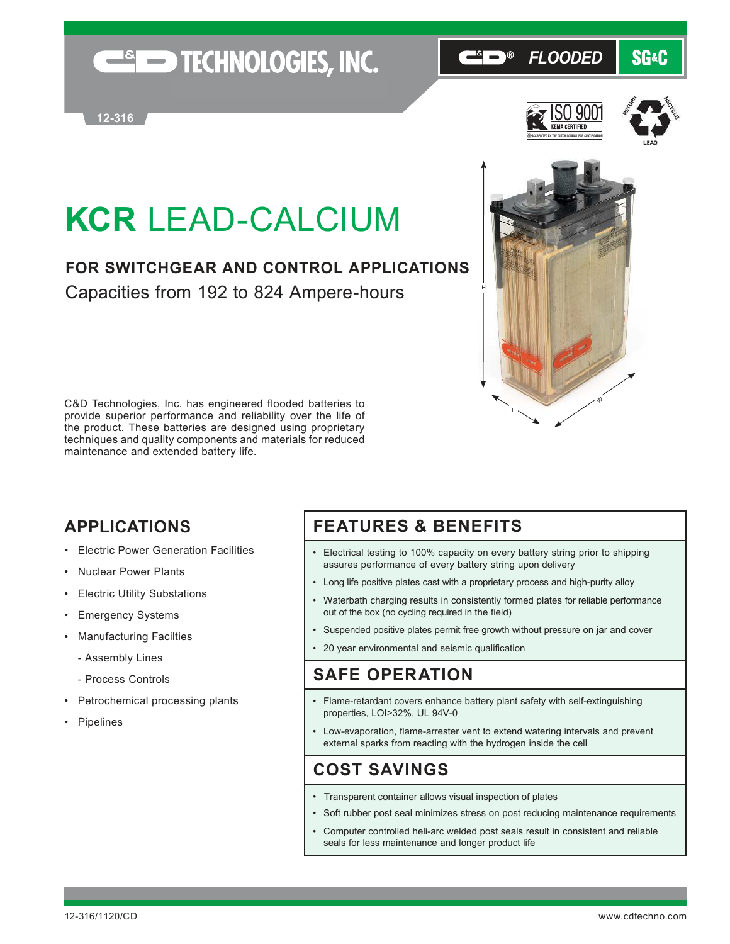## **ESED TECHNOLOGIES, INC.**

#### $\Theta$ *FLOODED* **SG&C**





# **KCR** LEAD-CALCIUM

## **FOR SWITCHGEAR AND CONTROL APPLICATIONS** Capacities from 192 to 824 Ampere-hours

C&D Technologies, Inc. has engineered flooded batteries to provide superior performance and reliability over the life of the product. These batteries are designed using proprietary techniques and quality components and materials for reduced maintenance and extended battery life.

### **APPLICATIONS**

- Electric Power Generation Facilities
- Nuclear Power Plants
- **Electric Utility Substations**
- Emergency Systems
- Manufacturing Facilties
	- Assembly Lines
	- Process Controls
- Petrochemical processing plants
- Pipelines

### **FEATURES & BENEFITS**

• Electrical testing to 100% capacity on every battery string prior to shipping assures performance of every battery string upon delivery

L

W

- Long life positive plates cast with a proprietary process and high-purity alloy
- Waterbath charging results in consistently formed plates for reliable performance out of the box (no cycling required in the field)
- Suspended positive plates permit free growth without pressure on jar and cover
- 20 year environmental and seismic qualification

#### **SAFE OPERATION**

- Flame-retardant covers enhance battery plant safety with self-extinguishing properties, LOI>32%, UL 94V-0
- Low-evaporation, flame-arrester vent to extend watering intervals and prevent external sparks from reacting with the hydrogen inside the cell

### **COST SAVINGS**

- Transparent container allows visual inspection of plates
- Soft rubber post seal minimizes stress on post reducing maintenance requirements
- Computer controlled heli-arc welded post seals result in consistent and reliable seals for less maintenance and longer product life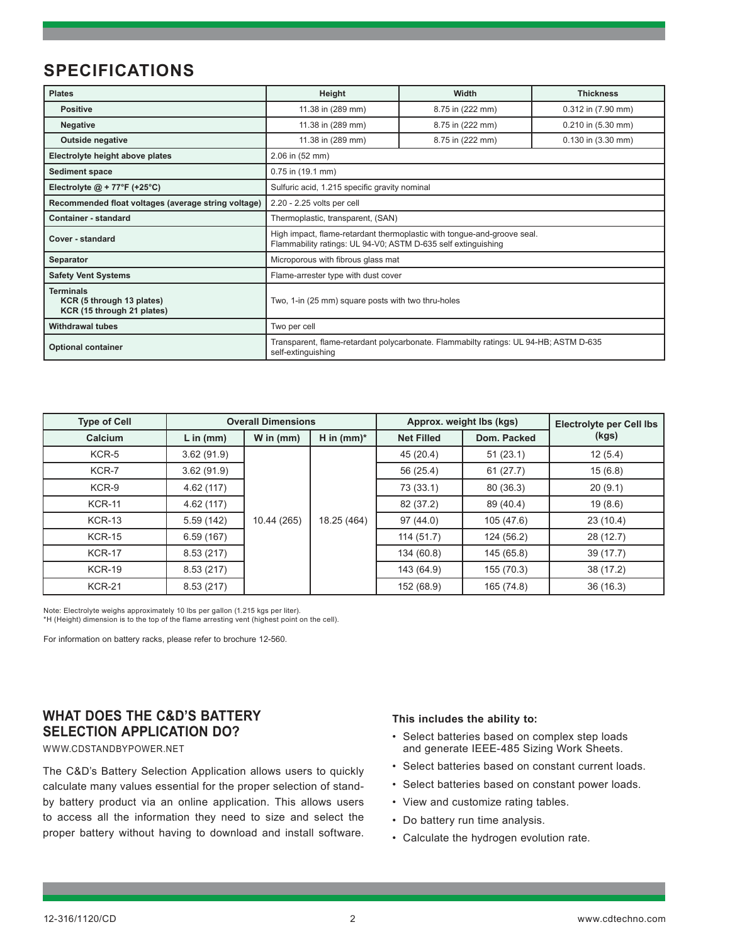### **SPECIFICATIONS**

| <b>Plates</b>                                                               | Height                                                                                                                                   | <b>Width</b>     | <b>Thickness</b>       |  |  |  |  |
|-----------------------------------------------------------------------------|------------------------------------------------------------------------------------------------------------------------------------------|------------------|------------------------|--|--|--|--|
| <b>Positive</b>                                                             | 11.38 in (289 mm)                                                                                                                        | 8.75 in (222 mm) | 0.312 in (7.90 mm)     |  |  |  |  |
| <b>Negative</b>                                                             | 11.38 in (289 mm)                                                                                                                        | 8.75 in (222 mm) | $0.210$ in $(5.30$ mm) |  |  |  |  |
| <b>Outside negative</b>                                                     | 11.38 in (289 mm)                                                                                                                        | 8.75 in (222 mm) | $0.130$ in $(3.30$ mm) |  |  |  |  |
| Electrolyte height above plates                                             | 2.06 in (52 mm)                                                                                                                          |                  |                        |  |  |  |  |
| <b>Sediment space</b>                                                       | 0.75 in (19.1 mm)                                                                                                                        |                  |                        |  |  |  |  |
| Electrolyte $@ + 77^{\circ}F (+25^{\circ}C)$                                | Sulfuric acid, 1.215 specific gravity nominal                                                                                            |                  |                        |  |  |  |  |
| Recommended float voltages (average string voltage)                         | 2.20 - 2.25 volts per cell                                                                                                               |                  |                        |  |  |  |  |
| Container - standard                                                        | Thermoplastic, transparent, (SAN)                                                                                                        |                  |                        |  |  |  |  |
| Cover - standard                                                            | High impact, flame-retardant thermoplastic with tongue-and-groove seal.<br>Flammability ratings: UL 94-V0; ASTM D-635 self extinguishing |                  |                        |  |  |  |  |
| Separator                                                                   | Microporous with fibrous glass mat                                                                                                       |                  |                        |  |  |  |  |
| <b>Safety Vent Systems</b>                                                  | Flame-arrester type with dust cover                                                                                                      |                  |                        |  |  |  |  |
| <b>Terminals</b><br>KCR (5 through 13 plates)<br>KCR (15 through 21 plates) | Two, 1-in (25 mm) square posts with two thru-holes                                                                                       |                  |                        |  |  |  |  |
| <b>Withdrawal tubes</b>                                                     | Two per cell                                                                                                                             |                  |                        |  |  |  |  |
| <b>Optional container</b>                                                   | Transparent, flame-retardant polycarbonate. Flammabilty ratings: UL 94-HB; ASTM D-635<br>self-extinguishing                              |                  |                        |  |  |  |  |

| <b>Type of Cell</b> |             | <b>Overall Dimensions</b> |               |                   | Approx. weight lbs (kgs) | <b>Electrolyte per Cell lbs</b><br>(kgs) |  |
|---------------------|-------------|---------------------------|---------------|-------------------|--------------------------|------------------------------------------|--|
| Calcium             | $L$ in (mm) | W in $(mm)$               | H in $(mm)^*$ | <b>Net Filled</b> | Dom. Packed              |                                          |  |
| KCR-5               | 3.62(91.9)  | 10.44 (265)               |               | 45(20.4)          | 51(23.1)                 | 12(5.4)                                  |  |
| KCR-7               | 3.62(91.9)  |                           |               | 56 (25.4)         | 61(27.7)                 | 15(6.8)                                  |  |
| KCR-9               | 4.62(117)   |                           |               | 73 (33.1)         | 80(36.3)                 | 20(9.1)                                  |  |
| <b>KCR-11</b>       | 4.62 (117)  |                           |               | 82 (37.2)         | 89 (40.4)                | 19(8.6)                                  |  |
| <b>KCR-13</b>       | 5.59(142)   |                           | 18.25 (464)   | 97(44.0)          | 105 (47.6)               | 23(10.4)                                 |  |
| <b>KCR-15</b>       | 6.59(167)   |                           |               | 114(51.7)         | 124 (56.2)               | 28 (12.7)                                |  |
| <b>KCR-17</b>       | 8.53(217)   |                           |               | 134 (60.8)        | 145 (65.8)               | 39(17.7)                                 |  |
| <b>KCR-19</b>       | 8.53(217)   |                           |               | 143 (64.9)        | 155 (70.3)               | 38 (17.2)                                |  |
| <b>KCR-21</b>       | 8.53(217)   |                           |               | 152 (68.9)        | 165 (74.8)               | 36(16.3)                                 |  |

Note: Electrolyte weighs approximately 10 lbs per gallon (1.215 kgs per liter). \*H (Height) dimension is to the top of the flame arresting vent (highest point on the cell).

For information on battery racks, please refer to brochure 12-560.

#### **WHAT DOES THE C&D'S BATTERY SELECTION APPLICATION DO?**

WWW.CDSTANDBYPOWER.NET

The C&D's Battery Selection Application allows users to quickly calculate many values essential for the proper selection of standby battery product via an online application. This allows users to access all the information they need to size and select the proper battery without having to download and install software.

#### **This includes the ability to:**

- Select batteries based on complex step loads and generate IEEE-485 Sizing Work Sheets.
- Select batteries based on constant current loads.
- Select batteries based on constant power loads.
- View and customize rating tables.
- Do battery run time analysis.
- Calculate the hydrogen evolution rate.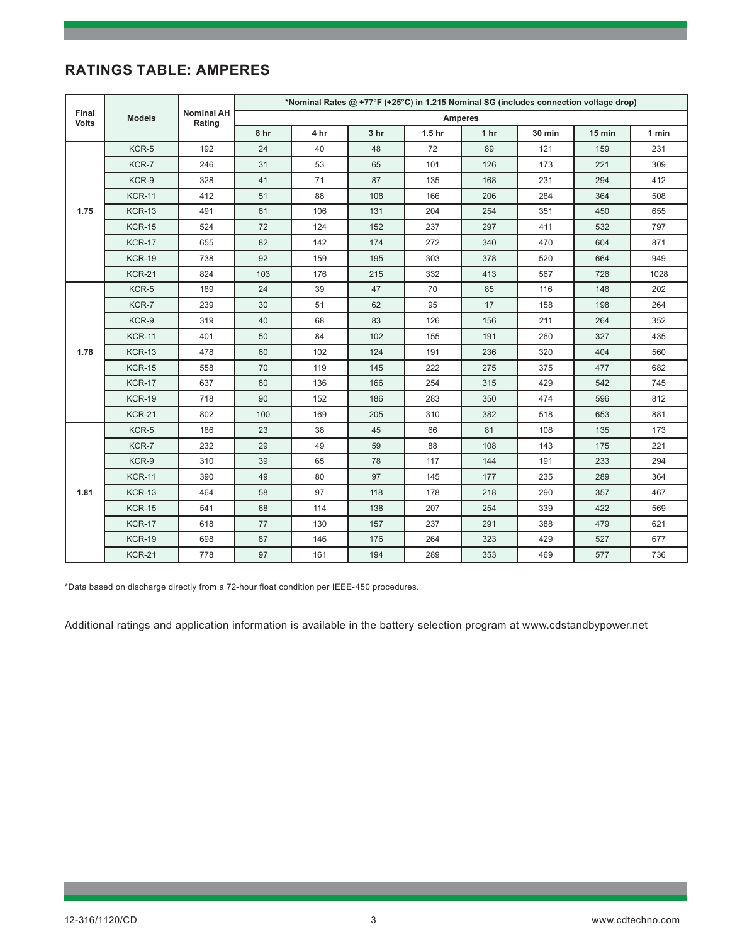#### **RATINGS TABLE: AMPERES**

|                       | <b>Models</b> | <b>Nominal AH</b><br>Rating | *Nominal Rates @ +77°F (+25°C) in 1.215 Nominal SG (includes connection voltage drop) |      |                 |                   |                 |               |        |       |  |
|-----------------------|---------------|-----------------------------|---------------------------------------------------------------------------------------|------|-----------------|-------------------|-----------------|---------------|--------|-------|--|
| Final<br><b>Volts</b> |               |                             | <b>Amperes</b>                                                                        |      |                 |                   |                 |               |        |       |  |
|                       |               |                             | 8 <sub>hr</sub>                                                                       | 4 hr | 3 <sub>hr</sub> | 1.5 <sub>hr</sub> | 1 <sub>hr</sub> | <b>30 min</b> | 15 min | 1 min |  |
| 1.75                  | KCR-5         | 192                         | 24                                                                                    | 40   | 48              | 72                | 89              | 121           | 159    | 231   |  |
|                       | KCR-7         | 246                         | 31                                                                                    | 53   | 65              | 101               | 126             | 173           | 221    | 309   |  |
|                       | KCR-9         | 328                         | 41                                                                                    | 71   | 87              | 135               | 168             | 231           | 294    | 412   |  |
|                       | <b>KCR-11</b> | 412                         | 51                                                                                    | 88   | 108             | 166               | 206             | 284           | 364    | 508   |  |
|                       | <b>KCR-13</b> | 491                         | 61                                                                                    | 106  | 131             | 204               | 254             | 351           | 450    | 655   |  |
|                       | <b>KCR-15</b> | 524                         | 72                                                                                    | 124  | 152             | 237               | 297             | 411           | 532    | 797   |  |
|                       | <b>KCR-17</b> | 655                         | 82                                                                                    | 142  | 174             | 272               | 340             | 470           | 604    | 871   |  |
|                       | <b>KCR-19</b> | 738                         | 92                                                                                    | 159  | 195             | 303               | 378             | 520           | 664    | 949   |  |
|                       | <b>KCR-21</b> | 824                         | 103                                                                                   | 176  | 215             | 332               | 413             | 567           | 728    | 1028  |  |
|                       | KCR-5         | 189                         | 24                                                                                    | 39   | 47              | 70                | 85              | 116           | 148    | 202   |  |
|                       | KCR-7         | 239                         | 30                                                                                    | 51   | 62              | 95                | 17              | 158           | 198    | 264   |  |
|                       | KCR-9         | 319                         | 40                                                                                    | 68   | 83              | 126               | 156             | 211           | 264    | 352   |  |
|                       | <b>KCR-11</b> | 401                         | 50                                                                                    | 84   | 102             | 155               | 191             | 260           | 327    | 435   |  |
| 1.78                  | <b>KCR-13</b> | 478                         | 60                                                                                    | 102  | 124             | 191               | 236             | 320           | 404    | 560   |  |
|                       | <b>KCR-15</b> | 558                         | 70                                                                                    | 119  | 145             | 222               | 275             | 375           | 477    | 682   |  |
|                       | <b>KCR-17</b> | 637                         | 80                                                                                    | 136  | 166             | 254               | 315             | 429           | 542    | 745   |  |
|                       | <b>KCR-19</b> | 718                         | 90                                                                                    | 152  | 186             | 283               | 350             | 474           | 596    | 812   |  |
|                       | <b>KCR-21</b> | 802                         | 100                                                                                   | 169  | 205             | 310               | 382             | 518           | 653    | 881   |  |
|                       | KCR-5         | 186                         | 23                                                                                    | 38   | 45              | 66                | 81              | 108           | 135    | 173   |  |
| 1.81                  | KCR-7         | 232                         | 29                                                                                    | 49   | 59              | 88                | 108             | 143           | 175    | 221   |  |
|                       | KCR-9         | 310                         | 39                                                                                    | 65   | 78              | 117               | 144             | 191           | 233    | 294   |  |
|                       | <b>KCR-11</b> | 390                         | 49                                                                                    | 80   | 97              | 145               | 177             | 235           | 289    | 364   |  |
|                       | <b>KCR-13</b> | 464                         | 58                                                                                    | 97   | 118             | 178               | 218             | 290           | 357    | 467   |  |
|                       | <b>KCR-15</b> | 541                         | 68                                                                                    | 114  | 138             | 207               | 254             | 339           | 422    | 569   |  |
|                       | <b>KCR-17</b> | 618                         | 77                                                                                    | 130  | 157             | 237               | 291             | 388           | 479    | 621   |  |
|                       | <b>KCR-19</b> | 698                         | 87                                                                                    | 146  | 176             | 264               | 323             | 429           | 527    | 677   |  |
|                       | <b>KCR-21</b> | 778                         | 97                                                                                    | 161  | 194             | 289               | 353             | 469           | 577    | 736   |  |

\*Data based on discharge directly from a 72-hour float condition per IEEE-450 procedures.

Additional ratings and application information is available in the battery selection program at www.cdstandbypower.net